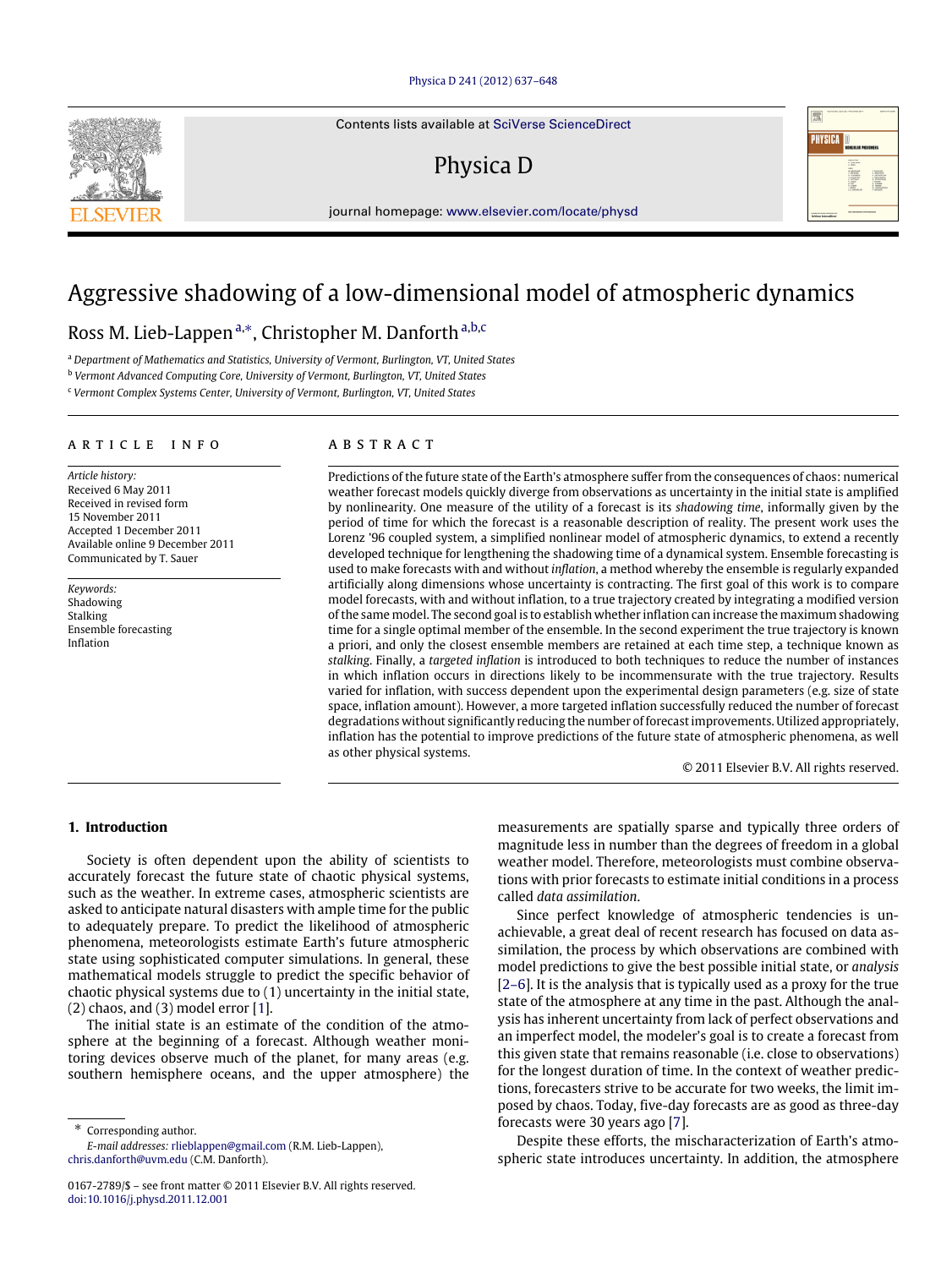## [Physica D 241 \(2012\) 637–648](http://dx.doi.org/10.1016/j.physd.2011.12.001)

Contents lists available at [SciVerse ScienceDirect](http://www.elsevier.com/locate/physd)

## Physica D

journal homepage: [www.elsevier.com/locate/physd](http://www.elsevier.com/locate/physd)

# Aggressive shadowing of a low-dimensional model of atmospheric dynamics

## Ross M. Lieb-Lappen<sup>[a,](#page-0-0)\*</sup>, Christopher M. D[a](#page-0-0)nforth<sup>a[,b,](#page-0-2)[c](#page-0-3)</sup>

<span id="page-0-0"></span><sup>a</sup> *Department of Mathematics and Statistics, University of Vermont, Burlington, VT, United States*

<span id="page-0-2"></span><sup>b</sup> *Vermont Advanced Computing Core, University of Vermont, Burlington, VT, United States*

<span id="page-0-3"></span><sup>c</sup> *Vermont Complex Systems Center, University of Vermont, Burlington, VT, United States*

#### article info

*Article history:* Received 6 May 2011 Received in revised form 15 November 2011 Accepted 1 December 2011 Available online 9 December 2011 Communicated by T. Sauer

*Keywords:* Shadowing Stalking Ensemble forecasting Inflation

#### **ABSTRACT**

Predictions of the future state of the Earth's atmosphere suffer from the consequences of chaos: numerical weather forecast models quickly diverge from observations as uncertainty in the initial state is amplified by nonlinearity. One measure of the utility of a forecast is its *shadowing time*, informally given by the period of time for which the forecast is a reasonable description of reality. The present work uses the Lorenz '96 coupled system, a simplified nonlinear model of atmospheric dynamics, to extend a recently developed technique for lengthening the shadowing time of a dynamical system. Ensemble forecasting is used to make forecasts with and without *inflation*, a method whereby the ensemble is regularly expanded artificially along dimensions whose uncertainty is contracting. The first goal of this work is to compare model forecasts, with and without inflation, to a true trajectory created by integrating a modified version of the same model. The second goal is to establish whether inflation can increase the maximum shadowing time for a single optimal member of the ensemble. In the second experiment the true trajectory is known a priori, and only the closest ensemble members are retained at each time step, a technique known as *stalking*. Finally, a *targeted inflation* is introduced to both techniques to reduce the number of instances in which inflation occurs in directions likely to be incommensurate with the true trajectory. Results varied for inflation, with success dependent upon the experimental design parameters (e.g. size of state space, inflation amount). However, a more targeted inflation successfully reduced the number of forecast degradations without significantly reducing the number of forecast improvements. Utilized appropriately, inflation has the potential to improve predictions of the future state of atmospheric phenomena, as well as other physical systems.

© 2011 Elsevier B.V. All rights reserved.

## **1. Introduction**

Society is often dependent upon the ability of scientists to accurately forecast the future state of chaotic physical systems, such as the weather. In extreme cases, atmospheric scientists are asked to anticipate natural disasters with ample time for the public to adequately prepare. To predict the likelihood of atmospheric phenomena, meteorologists estimate Earth's future atmospheric state using sophisticated computer simulations. In general, these mathematical models struggle to predict the specific behavior of chaotic physical systems due to (1) uncertainty in the initial state, (2) chaos, and (3) model error [\[1\]](#page-10-0).

The initial state is an estimate of the condition of the atmosphere at the beginning of a forecast. Although weather monitoring devices observe much of the planet, for many areas (e.g. southern hemisphere oceans, and the upper atmosphere) the

<span id="page-0-1"></span>⇤ Corresponding author. *E-mail addresses:* [rlieblappen@gmail.com](mailto:rlieblappen@gmail.com) (R.M. Lieb-Lappen),

[chris.danforth@uvm.edu](mailto:chris.danforth@uvm.edu) (C.M. Danforth).

measurements are spatially sparse and typically three orders of magnitude less in number than the degrees of freedom in a global weather model. Therefore, meteorologists must combine observations with prior forecasts to estimate initial conditions in a process called *data assimilation*.

Since perfect knowledge of atmospheric tendencies is unachievable, a great deal of recent research has focused on data assimilation, the process by which observations are combined with model predictions to give the best possible initial state, or *analysis* [\[2–6\]](#page-10-1). It is the analysis that is typically used as a proxy for the true state of the atmosphere at any time in the past. Although the analysis has inherent uncertainty from lack of perfect observations and an imperfect model, the modeler's goal is to create a forecast from this given state that remains reasonable (i.e. close to observations) for the longest duration of time. In the context of weather predictions, forecasters strive to be accurate for two weeks, the limit imposed by chaos. Today, five-day forecasts are as good as three-day forecasts were 30 years ago [\[7\]](#page-10-2).

Despite these efforts, the mischaracterization of Earth's atmospheric state introduces uncertainty. In addition, the atmosphere



<sup>0167-2789/\$ –</sup> see front matter © 2011 Elsevier B.V. All rights reserved. [doi:10.1016/j.physd.2011.12.001](http://dx.doi.org/10.1016/j.physd.2011.12.001)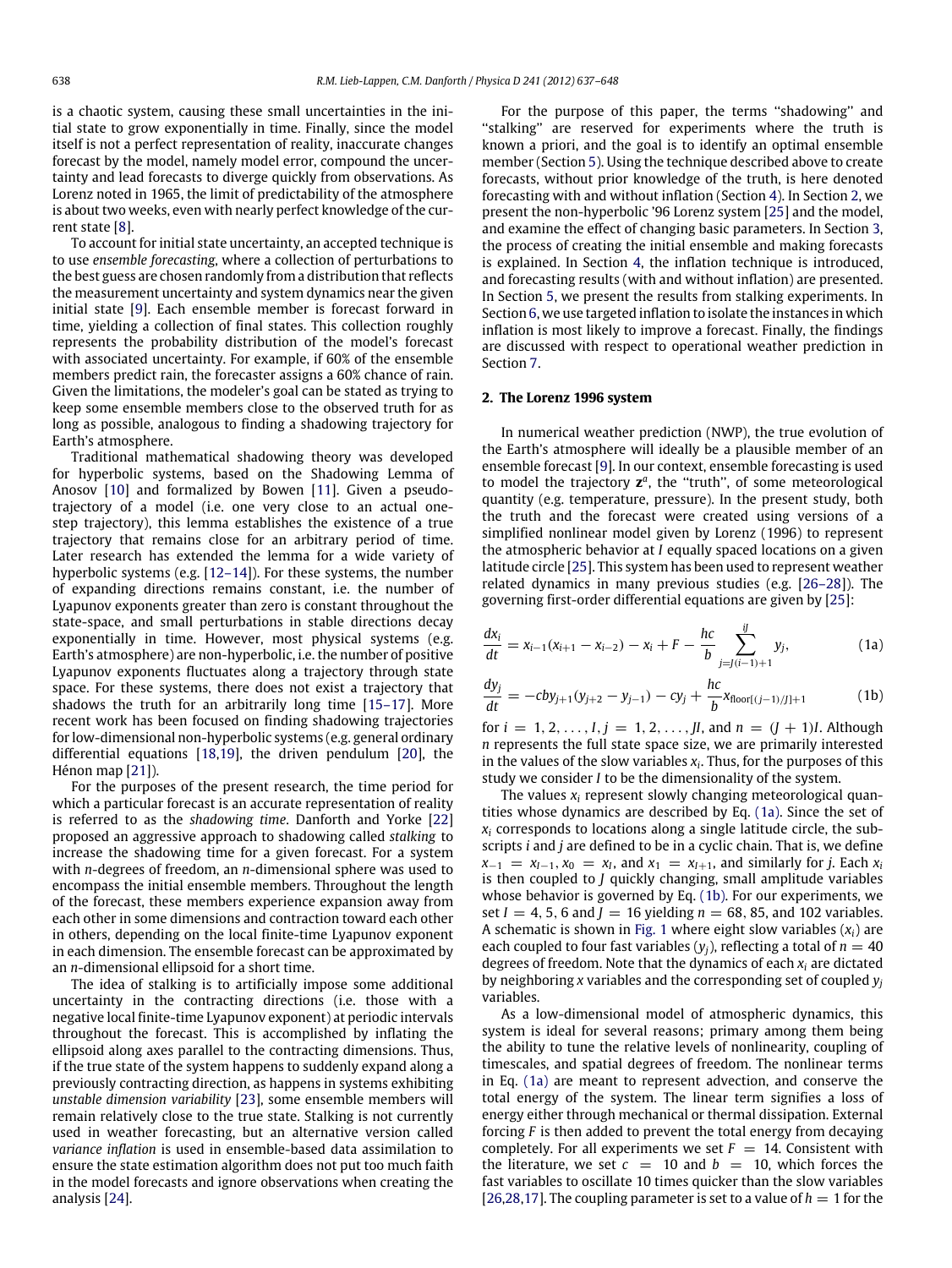is a chaotic system, causing these small uncertainties in the initial state to grow exponentially in time. Finally, since the model itself is not a perfect representation of reality, inaccurate changes forecast by the model, namely model error, compound the uncertainty and lead forecasts to diverge quickly from observations. As Lorenz noted in 1965, the limit of predictability of the atmosphere is about two weeks, even with nearly perfect knowledge of the current state [\[8\]](#page-10-3).

To account for initial state uncertainty, an accepted technique is to use *ensemble forecasting*, where a collection of perturbations to the best guess are chosen randomly from a distribution that reflects the measurement uncertainty and system dynamics near the given initial state [\[9\]](#page-10-4). Each ensemble member is forecast forward in time, yielding a collection of final states. This collection roughly represents the probability distribution of the model's forecast with associated uncertainty. For example, if 60% of the ensemble members predict rain, the forecaster assigns a 60% chance of rain. Given the limitations, the modeler's goal can be stated as trying to keep some ensemble members close to the observed truth for as long as possible, analogous to finding a shadowing trajectory for Earth's atmosphere.

Traditional mathematical shadowing theory was developed for hyperbolic systems, based on the Shadowing Lemma of Anosov [\[10\]](#page-10-5) and formalized by Bowen [\[11\]](#page-10-6). Given a pseudotrajectory of a model (i.e. one very close to an actual onestep trajectory), this lemma establishes the existence of a true trajectory that remains close for an arbitrary period of time. Later research has extended the lemma for a wide variety of hyperbolic systems (e.g. [\[12–14\]](#page-10-7)). For these systems, the number of expanding directions remains constant, i.e. the number of Lyapunov exponents greater than zero is constant throughout the state-space, and small perturbations in stable directions decay exponentially in time. However, most physical systems (e.g. Earth's atmosphere) are non-hyperbolic, i.e. the number of positive Lyapunov exponents fluctuates along a trajectory through state space. For these systems, there does not exist a trajectory that shadows the truth for an arbitrarily long time [\[15–17\]](#page-10-8). More recent work has been focused on finding shadowing trajectories for low-dimensional non-hyperbolic systems (e.g. general ordinary differential equations [\[18](#page-11-0)[,19\]](#page-11-1), the driven pendulum [\[20\]](#page-11-2), the Hénon map [\[21\]](#page-11-3)).

For the purposes of the present research, the time period for which a particular forecast is an accurate representation of reality is referred to as the *shadowing time*. Danforth and Yorke [\[22\]](#page-11-4) proposed an aggressive approach to shadowing called *stalking* to increase the shadowing time for a given forecast. For a system with *n*-degrees of freedom, an *n*-dimensional sphere was used to encompass the initial ensemble members. Throughout the length of the forecast, these members experience expansion away from each other in some dimensions and contraction toward each other in others, depending on the local finite-time Lyapunov exponent in each dimension. The ensemble forecast can be approximated by an *n*-dimensional ellipsoid for a short time.

The idea of stalking is to artificially impose some additional uncertainty in the contracting directions (i.e. those with a negative local finite-time Lyapunov exponent) at periodic intervals throughout the forecast. This is accomplished by inflating the ellipsoid along axes parallel to the contracting dimensions. Thus, if the true state of the system happens to suddenly expand along a previously contracting direction, as happens in systems exhibiting *unstable dimension variability* [\[23\]](#page-11-5), some ensemble members will remain relatively close to the true state. Stalking is not currently used in weather forecasting, but an alternative version called *variance inflation* is used in ensemble-based data assimilation to ensure the state estimation algorithm does not put too much faith in the model forecasts and ignore observations when creating the analysis [\[24\]](#page-11-6).

For the purpose of this paper, the terms ''shadowing'' and "stalking" are reserved for experiments where the truth is known a priori, and the goal is to identify an optimal ensemble member (Section [5\)](#page-8-0). Using the technique described above to create forecasts, without prior knowledge of the truth, is here denoted forecasting with and without inflation (Section [4\)](#page-5-0). In Section [2,](#page-1-0) we present the non-hyperbolic '96 Lorenz system [\[25\]](#page-11-7) and the model, and examine the effect of changing basic parameters. In Section [3,](#page-3-0) the process of creating the initial ensemble and making forecasts is explained. In Section [4,](#page-5-0) the inflation technique is introduced, and forecasting results (with and without inflation) are presented. In Section [5,](#page-8-0) we present the results from stalking experiments. In Section [6,](#page-9-0) we use targeted inflation to isolate the instances in which inflation is most likely to improve a forecast. Finally, the findings are discussed with respect to operational weather prediction in Section [7.](#page-10-9)

#### <span id="page-1-0"></span>**2. The Lorenz 1996 system**

In numerical weather prediction (NWP), the true evolution of the Earth's atmosphere will ideally be a plausible member of an ensemble forecast [\[9\]](#page-10-4). In our context, ensemble forecasting is used to model the trajectory **z***<sup>a</sup>*, the ''truth'', of some meteorological quantity (e.g. temperature, pressure). In the present study, both the truth and the forecast were created using versions of a simplified nonlinear model given by Lorenz (1996) to represent the atmospheric behavior at *I* equally spaced locations on a given latitude circle [\[25\]](#page-11-7). This system has been used to represent weather related dynamics in many previous studies (e.g. [\[26–28\]](#page-11-8)). The governing first-order differential equations are given by [\[25\]](#page-11-7):

<span id="page-1-1"></span>
$$
\frac{dx_i}{dt} = x_{i-1}(x_{i+1} - x_{i-2}) - x_i + F - \frac{hc}{b} \sum_{j=j(i-1)+1}^{jj} y_j,
$$
 (1a)

<span id="page-1-2"></span>
$$
\frac{dy_j}{dt} = -cby_{j+1}(y_{j+2} - y_{j-1}) - cy_j + \frac{hc}{b}x_{\text{floor}[(j-1)/j]+1}
$$
 (1b)

for  $i = 1, 2, ..., I, j = 1, 2, ..., J$ *I*, and  $n = (J + 1)I$ . Although *n* represents the full state space size, we are primarily interested in the values of the slow variables *xi*. Thus, for the purposes of this study we consider *I* to be the dimensionality of the system.

The values *xi* represent slowly changing meteorological quantities whose dynamics are described by Eq. [\(1a\).](#page-1-1) Since the set of  $x_i$  corresponds to locations along a single latitude circle, the subscripts *i* and *j* are defined to be in a cyclic chain. That is, we define  $x_{-1} = x_{I-1}$ ,  $x_0 = x_I$ , and  $x_1 = x_{I+1}$ , and similarly for *j*. Each  $x_i$ is then coupled to *J* quickly changing, small amplitude variables whose behavior is governed by Eq. [\(1b\).](#page-1-2) For our experiments, we set  $I = 4, 5, 6$  and  $J = 16$  yielding  $n = 68, 85$ , and 102 variables. A schematic is shown in [Fig. 1](#page-2-0) where eight slow variables  $(x_i)$  are each coupled to four fast variables  $(y_i)$ , reflecting a total of  $n = 40$ degrees of freedom. Note that the dynamics of each *xi* are dictated by neighboring *x* variables and the corresponding set of coupled *yj* variables.

As a low-dimensional model of atmospheric dynamics, this system is ideal for several reasons; primary among them being the ability to tune the relative levels of nonlinearity, coupling of timescales, and spatial degrees of freedom. The nonlinear terms in Eq. [\(1a\)](#page-1-1) are meant to represent advection, and conserve the total energy of the system. The linear term signifies a loss of energy either through mechanical or thermal dissipation. External forcing *F* is then added to prevent the total energy from decaying completely. For all experiments we set  $F = 14$ . Consistent with the literature, we set  $c = 10$  and  $b = 10$ , which forces the fast variables to oscillate 10 times quicker than the slow variables  $[26,28,17]$  $[26,28,17]$  $[26,28,17]$ . The coupling parameter is set to a value of  $h = 1$  for the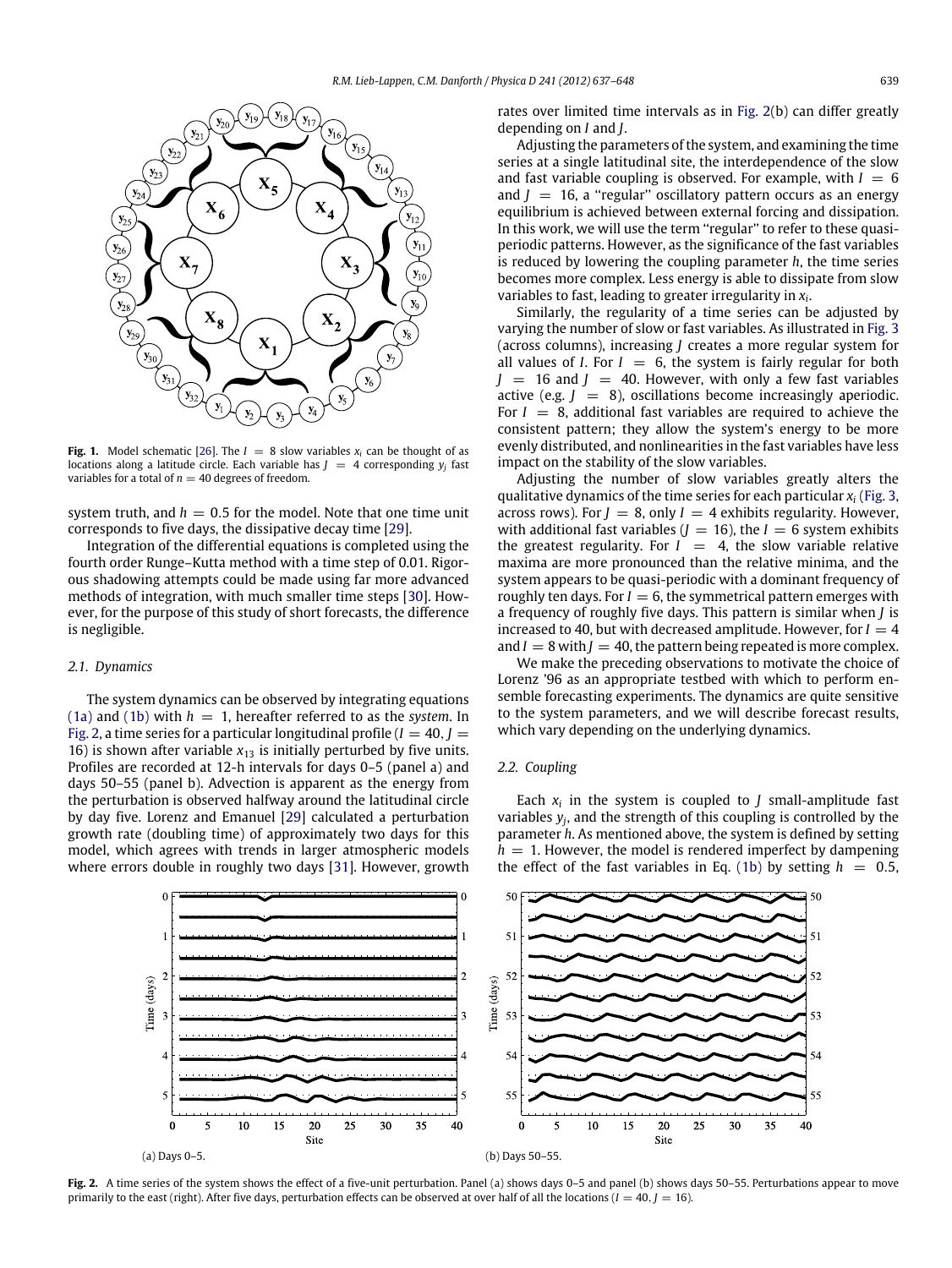<span id="page-2-0"></span>

**Fig. 1.** Model schematic [\[26\]](#page-11-8). The  $I = 8$  slow variables  $x_i$  can be thought of as locations along a latitude circle. Each variable has  $J = 4$  corresponding  $y_i$  fast variables for a total of  $n = 40$  degrees of freedom.

system truth, and  $h = 0.5$  for the model. Note that one time unit corresponds to five days, the dissipative decay time [\[29\]](#page-11-11).

Integration of the differential equations is completed using the fourth order Runge–Kutta method with a time step of 0.01. Rigorous shadowing attempts could be made using far more advanced methods of integration, with much smaller time steps [\[30\]](#page-11-12). However, for the purpose of this study of short forecasts, the difference is negligible.

### *2.1. Dynamics*

The system dynamics can be observed by integrating equations [\(1a\)](#page-1-1) and [\(1b\)](#page-1-2) with  $h = 1$ , hereafter referred to as the *system*. In [Fig. 2,](#page-2-1) a time series for a particular longitudinal profile  $(I = 40, J = 1)$ 16) is shown after variable  $x_{13}$  is initially perturbed by five units. Profiles are recorded at 12-h intervals for days 0–5 (panel a) and days 50–55 (panel b). Advection is apparent as the energy from the perturbation is observed halfway around the latitudinal circle by day five. Lorenz and Emanuel [\[29\]](#page-11-11) calculated a perturbation growth rate (doubling time) of approximately two days for this model, which agrees with trends in larger atmospheric models where errors double in roughly two days [\[31\]](#page-11-13). However, growth rates over limited time intervals as in [Fig. 2\(](#page-2-1)b) can differ greatly depending on *I* and *J*.

Adjusting the parameters of the system, and examining the time series at a single latitudinal site, the interdependence of the slow and fast variable coupling is observed. For example, with  $I = 6$ and  $J = 16$ , a "regular" oscillatory pattern occurs as an energy equilibrium is achieved between external forcing and dissipation. In this work, we will use the term "regular" to refer to these quasiperiodic patterns. However, as the significance of the fast variables is reduced by lowering the coupling parameter *h*, the time series becomes more complex. Less energy is able to dissipate from slow variables to fast, leading to greater irregularity in *xi*.

Similarly, the regularity of a time series can be adjusted by varying the number of slow or fast variables. As illustrated in [Fig. 3](#page-3-1) (across columns), increasing *J* creates a more regular system for all values of *I*. For  $I = 6$ , the system is fairly regular for both  $J = 16$  and  $J = 40$ . However, with only a few fast variables active (e.g.  $J = 8$ ), oscillations become increasingly aperiodic. For  $I = 8$ , additional fast variables are required to achieve the consistent pattern; they allow the system's energy to be more evenly distributed, and nonlinearities in the fast variables have less impact on the stability of the slow variables.

Adjusting the number of slow variables greatly alters the qualitative dynamics of the time series for each particular *xi* [\(Fig. 3,](#page-3-1) across rows). For  $J = 8$ , only  $I = 4$  exhibits regularity. However, with additional fast variables  $(J = 16)$ , the  $I = 6$  system exhibits the greatest regularity. For  $I = 4$ , the slow variable relative maxima are more pronounced than the relative minima, and the system appears to be quasi-periodic with a dominant frequency of roughly ten days. For  $I = 6$ , the symmetrical pattern emerges with a frequency of roughly five days. This pattern is similar when *J* is increased to 40, but with decreased amplitude. However, for  $I = 4$ and  $I = 8$  with  $I = 40$ , the pattern being repeated is more complex.

We make the preceding observations to motivate the choice of Lorenz '96 as an appropriate testbed with which to perform ensemble forecasting experiments. The dynamics are quite sensitive to the system parameters, and we will describe forecast results, which vary depending on the underlying dynamics.

#### *2.2. Coupling*

Each  $x_i$  in the system is coupled to  $J$  small-amplitude fast variables  $y_i$ , and the strength of this coupling is controlled by the parameter *h*. As mentioned above, the system is defined by setting  $h = 1$ . However, the model is rendered imperfect by dampening the effect of the fast variables in Eq. [\(1b\)](#page-1-2) by setting  $h = 0.5$ ,

<span id="page-2-1"></span>

Fig. 2. A time series of the system shows the effect of a five-unit perturbation. Panel (a) shows days 0–5 and panel (b) shows days 50–55. Perturbations appear to move primarily to the east (right). After five days, perturbation effects can be observed at over half of all the locations ( $I = 40$ ,  $I = 16$ ).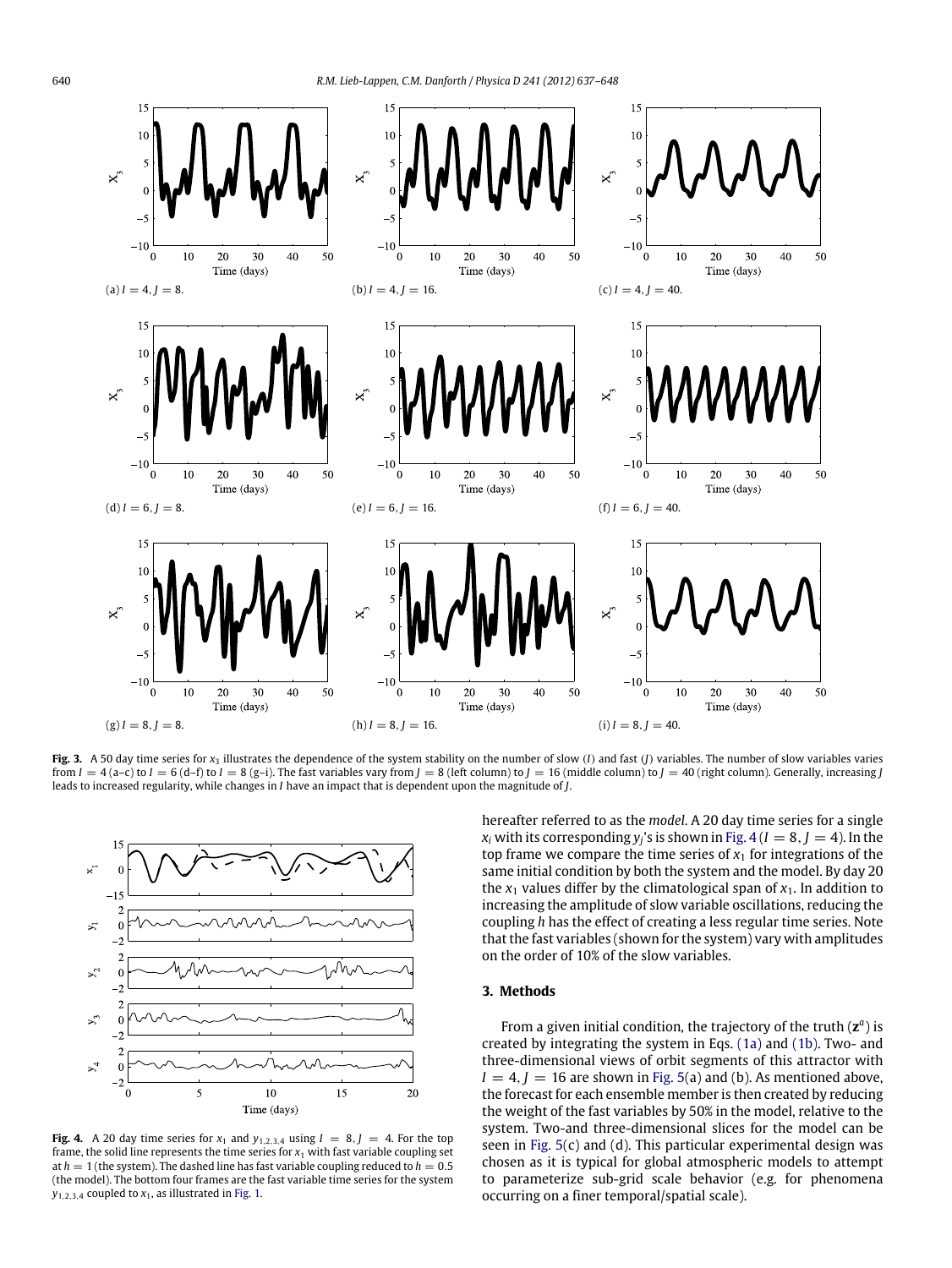<span id="page-3-1"></span>

Fig. 3. A 50 day time series for  $x_3$  illustrates the dependence of the system stability on the number of slow (I) and fast (J) variables. The number of slow variables varies from  $I = 4$  (a-c) to  $I = 6$  (d-f) to  $I = 8$  (g-i). The fast variables vary from  $J = 8$  (left column) to  $J = 16$  (middle column) to  $J = 40$  (right column). Generally, increasing *J* leads to increased regularity, while changes in *I* have an impact that is dependent upon the magnitude of *J*.

<span id="page-3-2"></span>

**Fig. 4.** A 20 day time series for  $x_1$  and  $y_{1,2,3,4}$  using  $I = 8, J = 4$ . For the top frame, the solid line represents the time series for  $x_1$  with fast variable coupling set at  $h = 1$  (the system). The dashed line has fast variable coupling reduced to  $h = 0.5$ (the model). The bottom four frames are the fast variable time series for the system  $y_{1,2,3,4}$  coupled to  $x_1$ , as illustrated in [Fig. 1.](#page-2-0)

hereafter referred to as the *model*. A 20 day time series for a single  $x_i$  with its corresponding  $y_i$ 's is shown in Fig.  $4(I = 8, J = 4)$ . In the top frame we compare the time series of  $x_1$  for integrations of the same initial condition by both the system and the model. By day 20 the  $x_1$  values differ by the climatological span of  $x_1$ . In addition to increasing the amplitude of slow variable oscillations, reducing the coupling *h* has the effect of creating a less regular time series. Note that the fast variables (shown for the system) vary with amplitudes on the order of 10% of the slow variables.

## <span id="page-3-0"></span>**3. Methods**

From a given initial condition, the trajectory of the truth (**z***<sup>a</sup>*) is created by integrating the system in Eqs. [\(1a\)](#page-1-1) and [\(1b\).](#page-1-2) Two- and three-dimensional views of orbit segments of this attractor with  $I = 4$ ,  $I = 16$  are shown in [Fig. 5\(](#page-4-0)a) and (b). As mentioned above, the forecast for each ensemble member is then created by reducing the weight of the fast variables by 50% in the model, relative to the system. Two-and three-dimensional slices for the model can be seen in [Fig. 5\(](#page-4-0)c) and (d). This particular experimental design was chosen as it is typical for global atmospheric models to attempt to parameterize sub-grid scale behavior (e.g. for phenomena occurring on a finer temporal/spatial scale).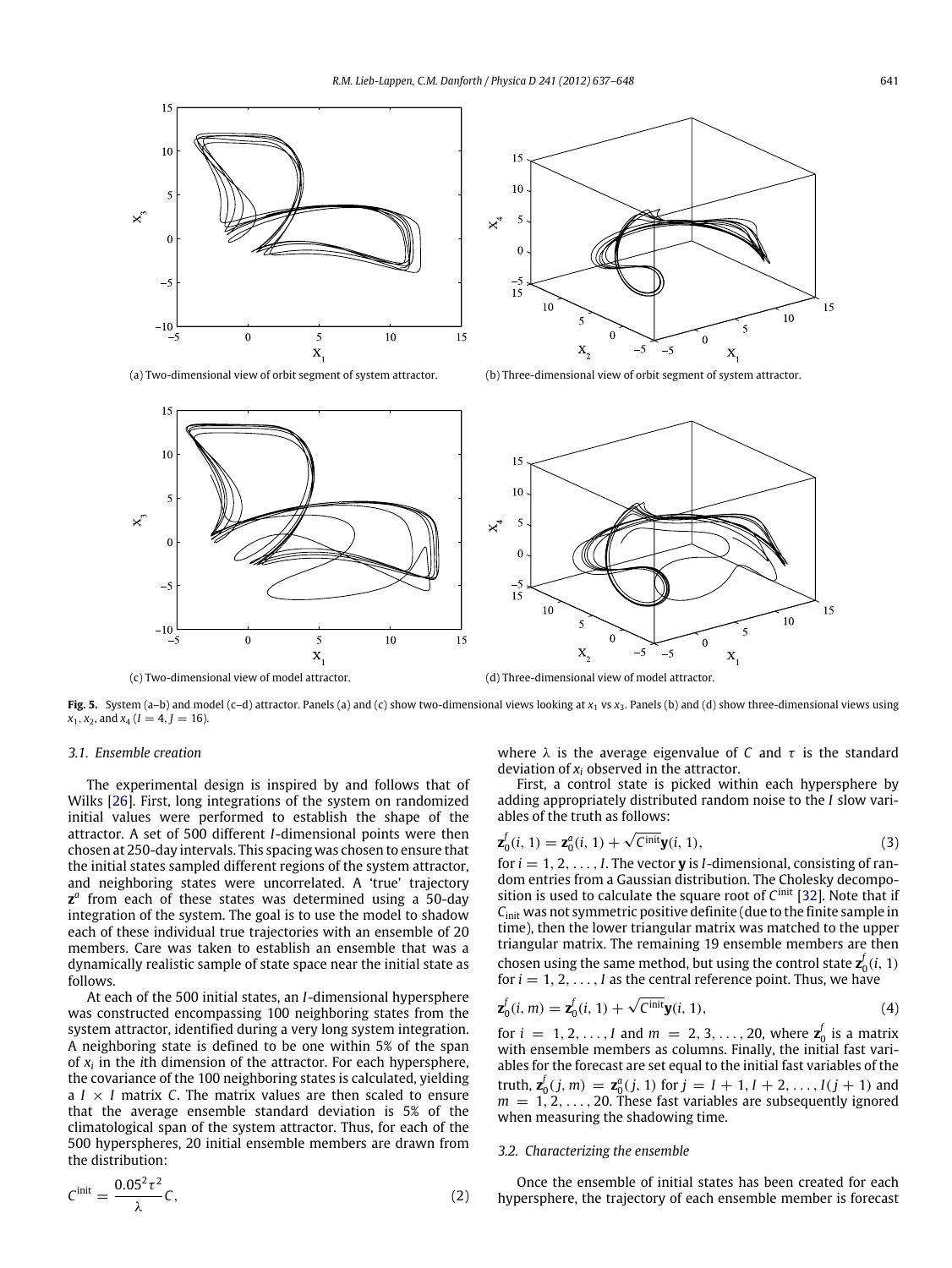<span id="page-4-0"></span>



(a) Two-dimensional view of orbit segment of system attractor. (b) Three-dimensional view of orbit segment of system attractor.



(c) Two-dimensional view of model attractor. (d) Three-dimensional view of model attractor.

**Fig. 5.** System (a–b) and model (c–d) attractor. Panels (a) and (c) show two-dimensional views looking at  $x_1$  vs  $x_3$ . Panels (b) and (d) show three-dimensional views using  $x_1, x_2,$  and  $x_4$  ( $I = 4, J = 16$ ).

## *3.1. Ensemble creation*

The experimental design is inspired by and follows that of Wilks [\[26\]](#page-11-8). First, long integrations of the system on randomized initial values were performed to establish the shape of the attractor. A set of 500 different *I*-dimensional points were then chosen at 250-day intervals. This spacing was chosen to ensure that the initial states sampled different regions of the system attractor, and neighboring states were uncorrelated. A 'true' trajectory **z***<sup>a</sup>* from each of these states was determined using a 50-day integration of the system. The goal is to use the model to shadow each of these individual true trajectories with an ensemble of 20 members. Care was taken to establish an ensemble that was a dynamically realistic sample of state space near the initial state as follows.

At each of the 500 initial states, an *I*-dimensional hypersphere was constructed encompassing 100 neighboring states from the system attractor, identified during a very long system integration. A neighboring state is defined to be one within 5% of the span of *xi* in the *i*th dimension of the attractor. For each hypersphere, the covariance of the 100 neighboring states is calculated, yielding a  $I \times I$  matrix *C*. The matrix values are then scaled to ensure that the average ensemble standard deviation is 5% of the climatological span of the system attractor. Thus, for each of the 500 hyperspheres, 20 initial ensemble members are drawn from the distribution:

$$
C^{\text{init}} = \frac{0.05^2 \tau^2}{\lambda} C,\tag{2}
$$

where  $\lambda$  is the average eigenvalue of *C* and  $\tau$  is the standard deviation of *xi* observed in the attractor.

First, a control state is picked within each hypersphere by adding appropriately distributed random noise to the *I* slow variables of the truth as follows:

$$
\mathbf{z}_0^f(i, 1) = \mathbf{z}_0^a(i, 1) + \sqrt{C^{\text{init}}} \mathbf{y}(i, 1),\tag{3}
$$

for  $i = 1, 2, \ldots, I$ . The vector **y** is *I*-dimensional, consisting of random entries from a Gaussian distribution. The Cholesky decomposition is used to calculate the square root of *C*init [\[32\]](#page-11-14). Note that if *C*init was not symmetric positive definite (due to the finite sample in time), then the lower triangular matrix was matched to the upper triangular matrix. The remaining 19 ensemble members are then chosen using the same method, but using the control state  $\mathbf{z}_0^f(i, 1)$ for  $i = 1, 2, \ldots, I$  as the central reference point. Thus, we have

$$
\mathbf{z}_0^f(i,m) = \mathbf{z}_0^f(i,1) + \sqrt{C^{\text{init}}} \mathbf{y}(i,1),\tag{4}
$$

<span id="page-4-1"></span>for *i* = 1, 2, ..., *I* and  $m = 2, 3, ..., 20$ , where  $z_0^f$  is a matrix with ensemble members as columns. Finally, the initial fast variables for the forecast are set equal to the initial fast variables of the truth,  $\mathbf{z}_0^f(j, m) = \mathbf{z}_0^a(j, 1)$  for  $j = I + 1, I + 2, \ldots, I(j + 1)$  and *<sup>m</sup>* = <sup>1</sup>*,* <sup>2</sup>*,...,* 20. These fast variables are subsequently ignored when measuring the shadowing time.

#### *3.2. Characterizing the ensemble*

Once the ensemble of initial states has been created for each hypersphere, the trajectory of each ensemble member is forecast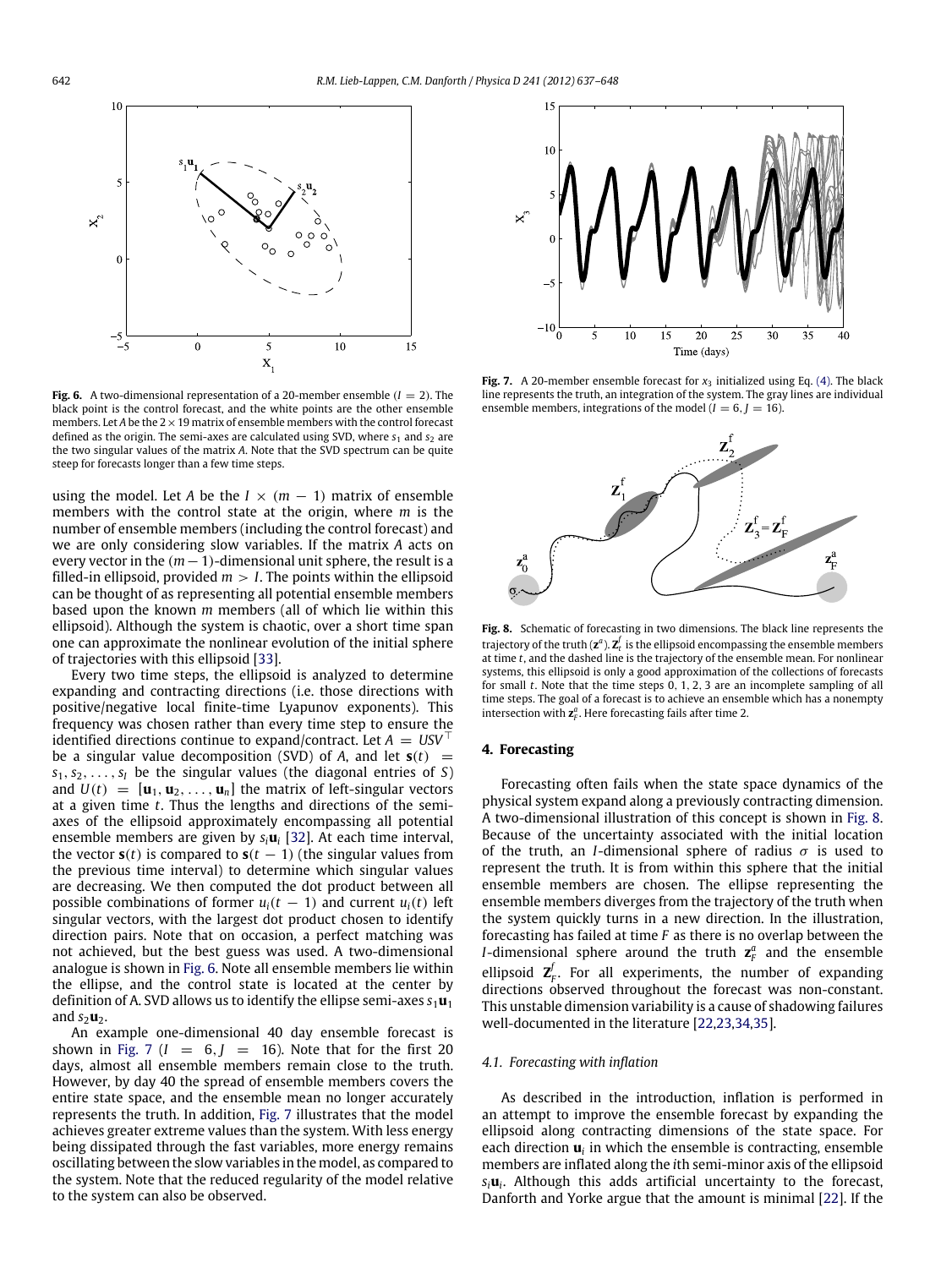<span id="page-5-1"></span>

**Fig. 6.** A two-dimensional representation of a 20-member ensemble  $(I = 2)$ . The black point is the control forecast, and the white points are the other ensemble members. Let *A* be the  $2 \times 19$  matrix of ensemble members with the control forecast defined as the origin. The semi-axes are calculated using SVD, where  $s_1$  and  $s_2$  are the two singular values of the matrix *A*. Note that the SVD spectrum can be quite steep for forecasts longer than a few time steps.

using the model. Let *A* be the  $I \times (m - 1)$  matrix of ensemble members with the control state at the origin, where *m* is the number of ensemble members (including the control forecast) and we are only considering slow variables. If the matrix *A* acts on every vector in the  $(m - 1)$ -dimensional unit sphere, the result is a filled-in ellipsoid, provided  $m > I$ . The points within the ellipsoid can be thought of as representing all potential ensemble members based upon the known *m* members (all of which lie within this ellipsoid). Although the system is chaotic, over a short time span one can approximate the nonlinear evolution of the initial sphere of trajectories with this ellipsoid [\[33\]](#page-11-15).

Every two time steps, the ellipsoid is analyzed to determine expanding and contracting directions (i.e. those directions with positive/negative local finite-time Lyapunov exponents). This frequency was chosen rather than every time step to ensure the identified directions continue to expand/contract. Let  $A = USV^{\top}$ be a singular value decomposition (SVD) of *A*, and let  $s(t)$  =  $s_1, s_2, \ldots, s_l$  be the singular values (the diagonal entries of *S*) and  $U(t) = [\mathbf{u}_1, \mathbf{u}_2, \dots, \mathbf{u}_n]$  the matrix of left-singular vectors at a given time *t*. Thus the lengths and directions of the semiaxes of the ellipsoid approximately encompassing all potential ensemble members are given by *si***u***<sup>i</sup>* [\[32\]](#page-11-14). At each time interval, the vector  $\mathbf{s}(t)$  is compared to  $\mathbf{s}(t-1)$  (the singular values from the previous time interval) to determine which singular values are decreasing. We then computed the dot product between all possible combinations of former  $u_i(t - 1)$  and current  $u_i(t)$  left singular vectors, with the largest dot product chosen to identify direction pairs. Note that on occasion, a perfect matching was not achieved, but the best guess was used. A two-dimensional analogue is shown in [Fig. 6.](#page-5-1) Note all ensemble members lie within the ellipse, and the control state is located at the center by definition of A. SVD allows us to identify the ellipse semi-axes  $s_1u_1$ and  $s_2$ **u**<sub>2</sub>.

An example one-dimensional 40 day ensemble forecast is shown in [Fig. 7](#page-5-2) ( $I = 6$ ,  $J = 16$ ). Note that for the first 20 days, almost all ensemble members remain close to the truth. However, by day 40 the spread of ensemble members covers the entire state space, and the ensemble mean no longer accurately represents the truth. In addition, [Fig. 7](#page-5-2) illustrates that the model achieves greater extreme values than the system. With less energy being dissipated through the fast variables, more energy remains oscillating between the slow variables in the model, as compared to the system. Note that the reduced regularity of the model relative to the system can also be observed.

<span id="page-5-2"></span>

**Fig. 7.** A 20-member ensemble forecast for  $x_3$  initialized using Eq. [\(4\).](#page-4-1) The black line represents the truth, an integration of the system. The gray lines are individual ensemble members, integrations of the model  $(I = 6, J = 16)$ .

<span id="page-5-3"></span>

**Fig. 8.** Schematic of forecasting in two dimensions. The black line represents the trajectory of the truth  $(\mathbf{z}^a)$ .  $\mathbf{Z}_t^f$  is the ellipsoid encompassing the ensemble members at time *t*, and the dashed line is the trajectory of the ensemble mean. For nonlinear systems, this ellipsoid is only a good approximation of the collections of forecasts for small *t*. Note that the time steps 0*,* 1*,* 2*,* 3 are an incomplete sampling of all time steps. The goal of a forecast is to achieve an ensemble which has a nonempty intersection with  $\mathbf{z}_F^a$ . Here forecasting fails after time 2.

#### <span id="page-5-0"></span>**4. Forecasting**

Forecasting often fails when the state space dynamics of the physical system expand along a previously contracting dimension. A two-dimensional illustration of this concept is shown in [Fig. 8.](#page-5-3) Because of the uncertainty associated with the initial location of the truth, an *I*-dimensional sphere of radius  $\sigma$  is used to represent the truth. It is from within this sphere that the initial ensemble members are chosen. The ellipse representing the ensemble members diverges from the trajectory of the truth when the system quickly turns in a new direction. In the illustration, forecasting has failed at time *F* as there is no overlap between the *I*-dimensional sphere around the truth  $z_F^a$  and the ensemble ellipsoid  $\mathbf{Z}_F^f$ . For all experiments, the number of expanding directions observed throughout the forecast was non-constant. This unstable dimension variability is a cause of shadowing failures well-documented in the literature [\[22](#page-11-4)[,23,](#page-11-5)[34](#page-11-16)[,35\]](#page-11-17).

#### *4.1. Forecasting with inflation*

As described in the introduction, inflation is performed in an attempt to improve the ensemble forecast by expanding the ellipsoid along contracting dimensions of the state space. For each direction  $\mathbf{u}_i$  in which the ensemble is contracting, ensemble members are inflated along the *i*th semi-minor axis of the ellipsoid *si***u***i*. Although this adds artificial uncertainty to the forecast, Danforth and Yorke argue that the amount is minimal [\[22\]](#page-11-4). If the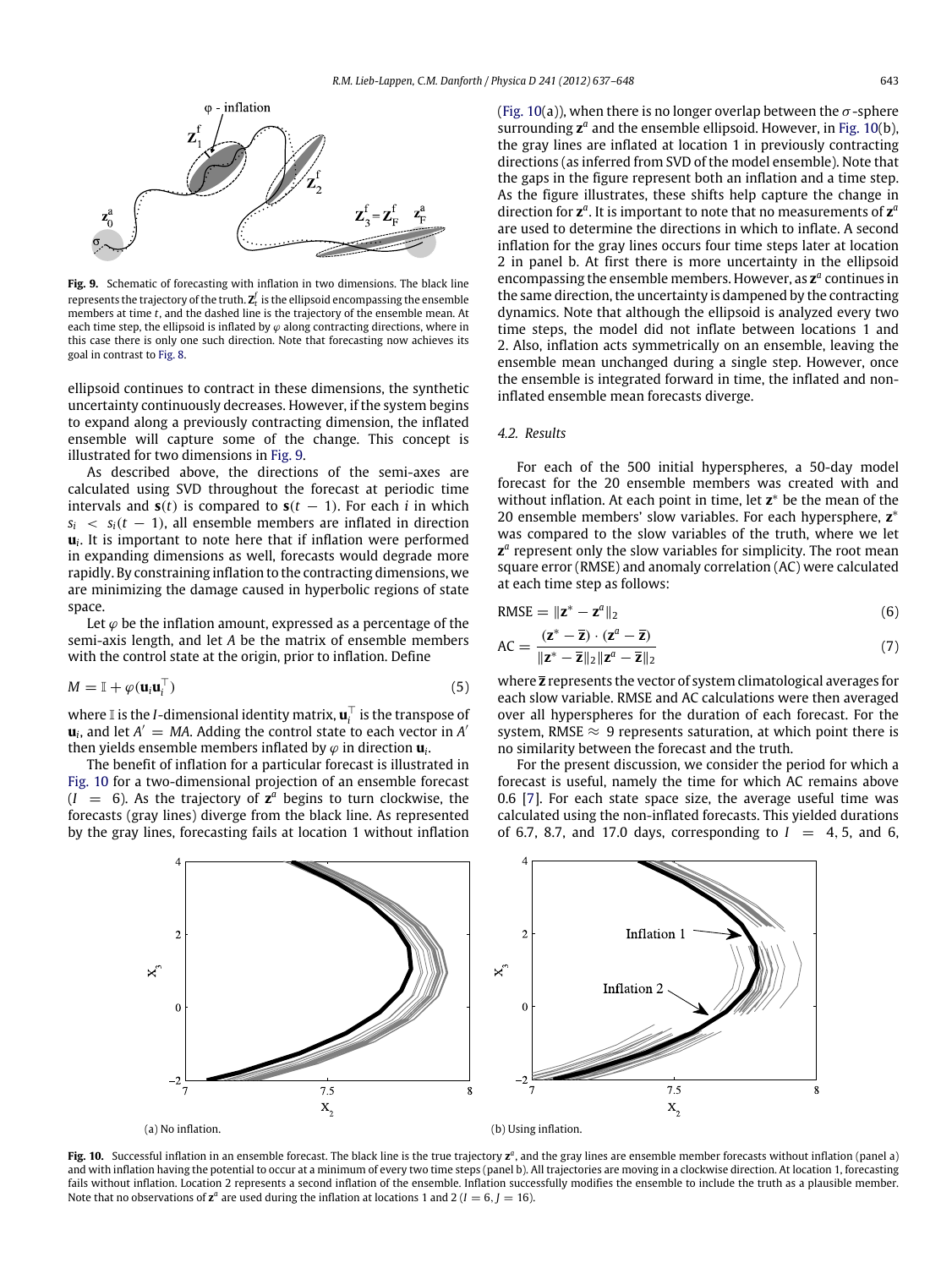<span id="page-6-0"></span>

**Fig. 9.** Schematic of forecasting with inflation in two dimensions. The black line represents the trajectory of the truth.  $\mathbf{Z}_t^f$  is the ellipsoid encompassing the ensemble members at time *t*, and the dashed line is the trajectory of the ensemble mean. At each time step, the ellipsoid is inflated by  $\varphi$  along contracting directions, where in this case there is only one such direction. Note that forecasting now achieves its goal in contrast to [Fig. 8.](#page-5-3)

ellipsoid continues to contract in these dimensions, the synthetic uncertainty continuously decreases. However, if the system begins to expand along a previously contracting dimension, the inflated ensemble will capture some of the change. This concept is illustrated for two dimensions in [Fig. 9.](#page-6-0)

As described above, the directions of the semi-axes are calculated using SVD throughout the forecast at periodic time intervals and  $s(t)$  is compared to  $s(t - 1)$ . For each *i* in which  $s_i \leq s_i(t-1)$ , all ensemble members are inflated in direction  $\mathbf{u}_i$ . It is important to note here that if inflation were performed in expanding dimensions as well, forecasts would degrade more rapidly. By constraining inflation to the contracting dimensions, we are minimizing the damage caused in hyperbolic regions of state space.

Let  $\varphi$  be the inflation amount, expressed as a percentage of the semi-axis length, and let *A* be the matrix of ensemble members with the control state at the origin, prior to inflation. Define

$$
M = \mathbb{I} + \varphi(\mathbf{u}_i \mathbf{u}_i^{\top})
$$
\n<sup>(5)</sup>

where  $\mathbb{I}$  is the *I*-dimensional identity matrix,  $\mathbf{u}_i^{\top}$  is the transpose of  $\mathbf{u}_i$ , and let  $A' = MA$ . Adding the control state to each vector in A<sup> $\prime$ </sup> then yields ensemble members inflated by  $\varphi$  in direction  $\mathbf{u}_i$ .

The benefit of inflation for a particular forecast is illustrated in [Fig. 10](#page-6-1) for a two-dimensional projection of an ensemble forecast  $(I = 6)$ . As the trajectory of  $\mathbf{z}^a$  begins to turn clockwise, the forecasts (gray lines) diverge from the black line. As represented by the gray lines, forecasting fails at location 1 without inflation [\(Fig. 10\(](#page-6-1)a)), when there is no longer overlap between the  $\sigma$ -sphere surrounding **z***<sup>a</sup>* and the ensemble ellipsoid. However, in [Fig. 10\(](#page-6-1)b), the gray lines are inflated at location 1 in previously contracting directions (as inferred from SVD of the model ensemble). Note that the gaps in the figure represent both an inflation and a time step. As the figure illustrates, these shifts help capture the change in direction for **z***<sup>a</sup>*. It is important to note that no measurements of **z***<sup>a</sup>* are used to determine the directions in which to inflate. A second inflation for the gray lines occurs four time steps later at location 2 in panel b. At first there is more uncertainty in the ellipsoid encompassing the ensemble members. However, as **z***<sup>a</sup>* continues in the same direction, the uncertainty is dampened by the contracting dynamics. Note that although the ellipsoid is analyzed every two time steps, the model did not inflate between locations 1 and 2. Also, inflation acts symmetrically on an ensemble, leaving the ensemble mean unchanged during a single step. However, once the ensemble is integrated forward in time, the inflated and noninflated ensemble mean forecasts diverge.

## *4.2. Results*

For each of the 500 initial hyperspheres, a 50-day model forecast for the 20 ensemble members was created with and without inflation. At each point in time, let  $z^*$  be the mean of the 20 ensemble members' slow variables. For each hypersphere,  $z^*$ was compared to the slow variables of the truth, where we let **z**<sup>*a*</sup> represent only the slow variables for simplicity. The root mean square error (RMSE) and anomaly correlation (AC) were calculated at each time step as follows:

$$
RMSE = ||\mathbf{z}^* - \mathbf{z}^a||_2 \tag{6}
$$

$$
AC = \frac{(\mathbf{z}^* - \overline{\mathbf{z}}) \cdot (\mathbf{z}^a - \overline{\mathbf{z}})}{\|\mathbf{z}^* - \overline{\mathbf{z}}\|_2 \|\mathbf{z}^a - \overline{\mathbf{z}}\|_2}
$$
(7)

where **z** represents the vector of system climatological averages for each slow variable. RMSE and AC calculations were then averaged over all hyperspheres for the duration of each forecast. For the system, RMSE  $\approx$  9 represents saturation, at which point there is no similarity between the forecast and the truth.

For the present discussion, we consider the period for which a forecast is useful, namely the time for which AC remains above 0.6 [\[7\]](#page-10-2). For each state space size, the average useful time was calculated using the non-inflated forecasts. This yielded durations of 6.7, 8.7, and 17.0 days, corresponding to  $I = 4, 5$ , and 6,

<span id="page-6-1"></span>

**Fig. 10.** Successful inflation in an ensemble forecast. The black line is the true trajectory **z***<sup>a</sup>*, and the gray lines are ensemble member forecasts without inflation (panel a) and with inflation having the potential to occur at a minimum of every two time steps (panel b). All trajectories are moving in a clockwise direction. At location 1, forecasting fails without inflation. Location 2 represents a second inflation of the ensemble. Inflation successfully modifies the ensemble to include the truth as a plausible member. Note that no observations of  $z^a$  are used during the inflation at locations 1 and 2 ( $I = 6$ ,  $J = 16$ ).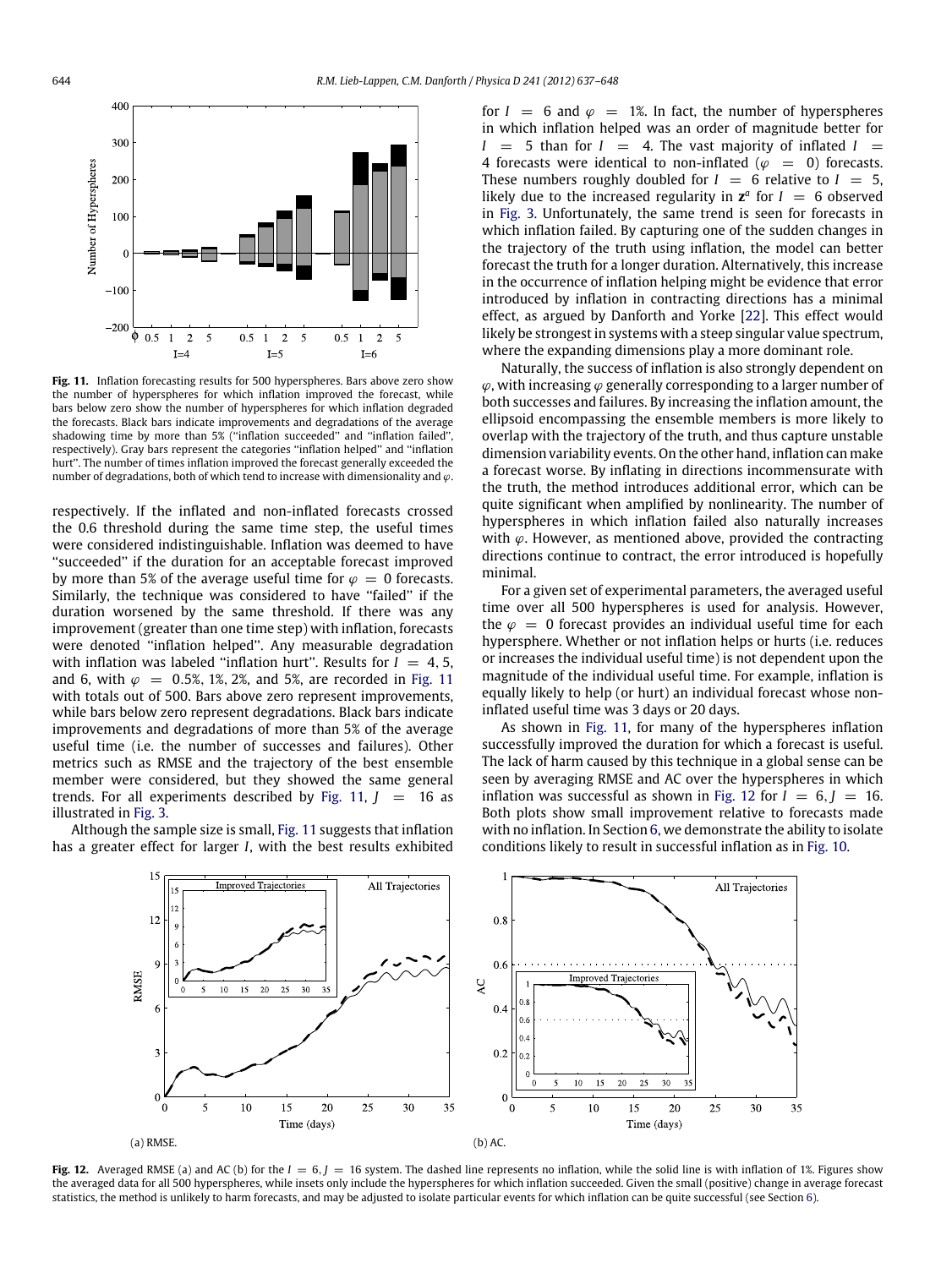<span id="page-7-0"></span>

**Fig. 11.** Inflation forecasting results for 500 hyperspheres. Bars above zero show the number of hyperspheres for which inflation improved the forecast, while bars below zero show the number of hyperspheres for which inflation degraded the forecasts. Black bars indicate improvements and degradations of the average shadowing time by more than 5% (''inflation succeeded'' and ''inflation failed'', respectively). Gray bars represent the categories ''inflation helped'' and ''inflation hurt''. The number of times inflation improved the forecast generally exceeded the number of degradations, both of which tend to increase with dimensionality and  $\varphi$ .

respectively. If the inflated and non-inflated forecasts crossed the 0.6 threshold during the same time step, the useful times were considered indistinguishable. Inflation was deemed to have ''succeeded'' if the duration for an acceptable forecast improved by more than 5% of the average useful time for  $\varphi = 0$  forecasts. Similarly, the technique was considered to have ''failed'' if the duration worsened by the same threshold. If there was any improvement (greater than one time step) with inflation, forecasts were denoted ''inflation helped''. Any measurable degradation with inflation was labeled "inflation hurt". Results for  $I = 4, 5$ , and 6, with  $\varphi = 0.5\%, 1\%, 2\%, \text{ and } 5\%, \text{ are recorded in Fig. 11}$  $\varphi = 0.5\%, 1\%, 2\%, \text{ and } 5\%, \text{ are recorded in Fig. 11}$  $\varphi = 0.5\%, 1\%, 2\%, \text{ and } 5\%, \text{ are recorded in Fig. 11}$ with totals out of 500. Bars above zero represent improvements, while bars below zero represent degradations. Black bars indicate improvements and degradations of more than 5% of the average useful time (i.e. the number of successes and failures). Other metrics such as RMSE and the trajectory of the best ensemble member were considered, but they showed the same general trends. For all experiments described by [Fig. 11,](#page-7-0)  $J = 16$  as illustrated in [Fig. 3.](#page-3-1)

<span id="page-7-1"></span>Although the sample size is small, [Fig. 11](#page-7-0) suggests that inflation has a greater effect for larger *I*, with the best results exhibited

for  $I = 6$  and  $\varphi = 1\%$ . In fact, the number of hyperspheres in which inflation helped was an order of magnitude better for  $I = 5$  than for  $I = 4$ . The vast majority of inflated  $I =$ 4 forecasts were identical to non-inflated ( $\varphi = 0$ ) forecasts. These numbers roughly doubled for  $I = 6$  relative to  $I = 5$ , likely due to the increased regularity in  $z^a$  for  $I = 6$  observed in [Fig. 3.](#page-3-1) Unfortunately, the same trend is seen for forecasts in which inflation failed. By capturing one of the sudden changes in the trajectory of the truth using inflation, the model can better forecast the truth for a longer duration. Alternatively, this increase in the occurrence of inflation helping might be evidence that error introduced by inflation in contracting directions has a minimal effect, as argued by Danforth and Yorke [\[22\]](#page-11-4). This effect would likely be strongest in systems with a steep singular value spectrum, where the expanding dimensions play a more dominant role.

Naturally, the success of inflation is also strongly dependent on  $\varphi$ , with increasing  $\varphi$  generally corresponding to a larger number of both successes and failures. By increasing the inflation amount, the ellipsoid encompassing the ensemble members is more likely to overlap with the trajectory of the truth, and thus capture unstable dimension variability events. On the other hand, inflation can make a forecast worse. By inflating in directions incommensurate with the truth, the method introduces additional error, which can be quite significant when amplified by nonlinearity. The number of hyperspheres in which inflation failed also naturally increases with  $\varphi$ . However, as mentioned above, provided the contracting directions continue to contract, the error introduced is hopefully minimal.

For a given set of experimental parameters, the averaged useful time over all 500 hyperspheres is used for analysis. However, the  $\varphi = 0$  forecast provides an individual useful time for each hypersphere. Whether or not inflation helps or hurts (i.e. reduces or increases the individual useful time) is not dependent upon the magnitude of the individual useful time. For example, inflation is equally likely to help (or hurt) an individual forecast whose noninflated useful time was 3 days or 20 days.

As shown in [Fig. 11,](#page-7-0) for many of the hyperspheres inflation successfully improved the duration for which a forecast is useful. The lack of harm caused by this technique in a global sense can be seen by averaging RMSE and AC over the hyperspheres in which inflation was successful as shown in [Fig. 12](#page-7-1) for  $I = 6, I = 16$ . Both plots show small improvement relative to forecasts made with no inflation. In Section [6,](#page-9-0) we demonstrate the ability to isolate conditions likely to result in successful inflation as in [Fig. 10.](#page-6-1)



**Fig. 12.** Averaged RMSE (a) and AC (b) for the  $I = 6$ ,  $J = 16$  system. The dashed line represents no inflation, while the solid line is with inflation of 1%. Figures show the averaged data for all 500 hyperspheres, while insets only include the hyperspheres for which inflation succeeded. Given the small (positive) change in average forecast statistics, the method is unlikely to harm forecasts, and may be adjusted to isolate particular events for which inflation can be quite successful (see Section [6\)](#page-9-0).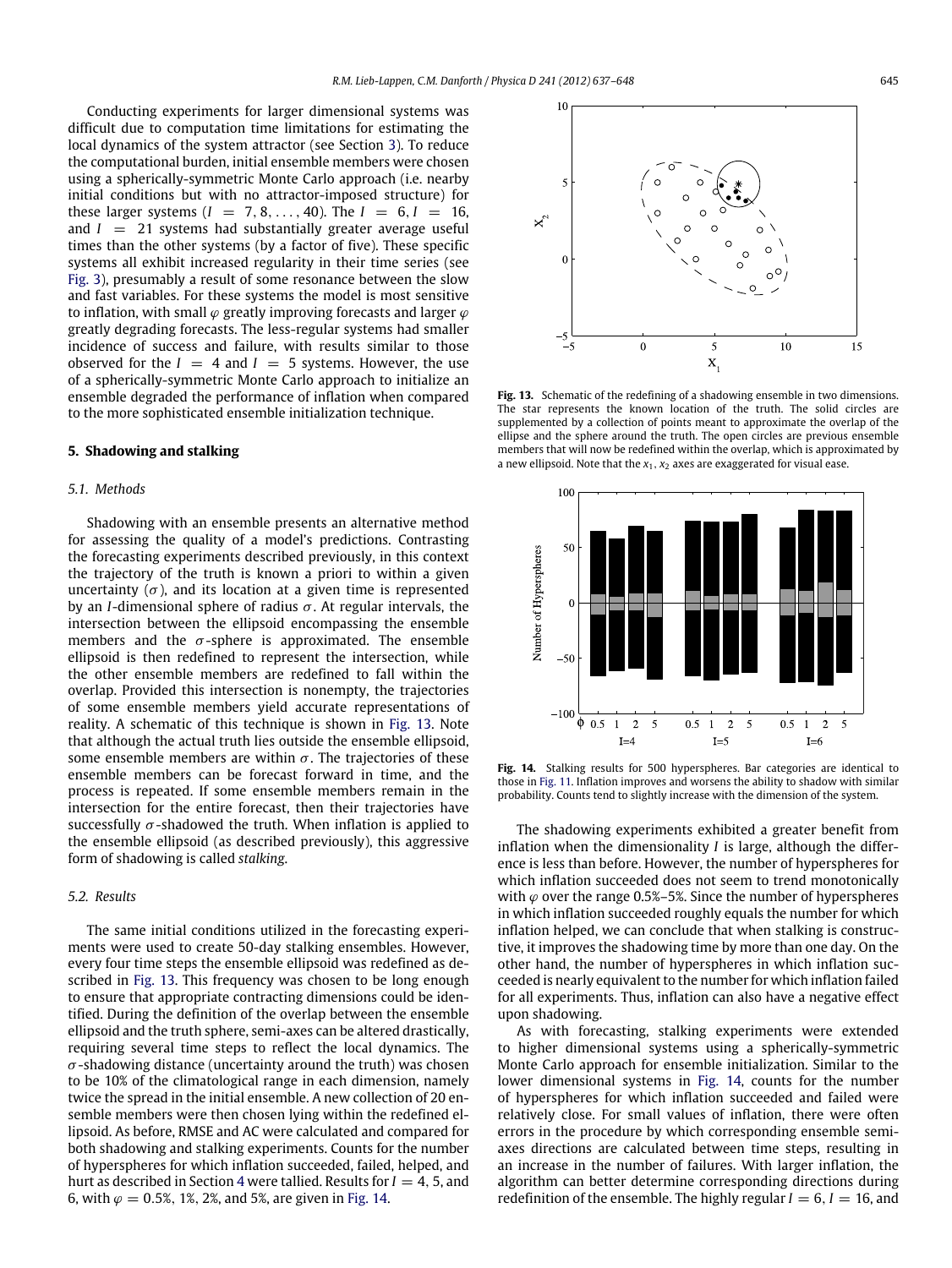Conducting experiments for larger dimensional systems was difficult due to computation time limitations for estimating the local dynamics of the system attractor (see Section [3\)](#page-3-0). To reduce the computational burden, initial ensemble members were chosen using a spherically-symmetric Monte Carlo approach (i.e. nearby initial conditions but with no attractor-imposed structure) for these larger systems  $(I = 7, 8, ..., 40)$ . The  $I = 6, I = 16$ , and  $I = 21$  systems had substantially greater average useful times than the other systems (by a factor of five). These specific systems all exhibit increased regularity in their time series (see [Fig. 3\)](#page-3-1), presumably a result of some resonance between the slow and fast variables. For these systems the model is most sensitive to inflation, with small  $\varphi$  greatly improving forecasts and larger  $\varphi$ greatly degrading forecasts. The less-regular systems had smaller incidence of success and failure, with results similar to those observed for the  $I = 4$  and  $I = 5$  systems. However, the use of a spherically-symmetric Monte Carlo approach to initialize an ensemble degraded the performance of inflation when compared to the more sophisticated ensemble initialization technique.

### <span id="page-8-0"></span>**5. Shadowing and stalking**

#### *5.1. Methods*

Shadowing with an ensemble presents an alternative method for assessing the quality of a model's predictions. Contrasting the forecasting experiments described previously, in this context the trajectory of the truth is known a priori to within a given uncertainty  $(\sigma)$ , and its location at a given time is represented by an *I*-dimensional sphere of radius  $\sigma$ . At regular intervals, the intersection between the ellipsoid encompassing the ensemble members and the  $\sigma$ -sphere is approximated. The ensemble ellipsoid is then redefined to represent the intersection, while the other ensemble members are redefined to fall within the overlap. Provided this intersection is nonempty, the trajectories of some ensemble members yield accurate representations of reality. A schematic of this technique is shown in [Fig. 13.](#page-8-1) Note that although the actual truth lies outside the ensemble ellipsoid, some ensemble members are within  $\sigma$ . The trajectories of these ensemble members can be forecast forward in time, and the process is repeated. If some ensemble members remain in the intersection for the entire forecast, then their trajectories have successfully  $\sigma$ -shadowed the truth. When inflation is applied to the ensemble ellipsoid (as described previously), this aggressive form of shadowing is called *stalking*.

## *5.2. Results*

The same initial conditions utilized in the forecasting experiments were used to create 50-day stalking ensembles. However, every four time steps the ensemble ellipsoid was redefined as described in [Fig. 13.](#page-8-1) This frequency was chosen to be long enough to ensure that appropriate contracting dimensions could be identified. During the definition of the overlap between the ensemble ellipsoid and the truth sphere, semi-axes can be altered drastically, requiring several time steps to reflect the local dynamics. The  $\sigma$ -shadowing distance (uncertainty around the truth) was chosen to be 10% of the climatological range in each dimension, namely twice the spread in the initial ensemble. A new collection of 20 ensemble members were then chosen lying within the redefined ellipsoid. As before, RMSE and AC were calculated and compared for both shadowing and stalking experiments. Counts for the number of hyperspheres for which inflation succeeded, failed, helped, and hurt as described in Section [4](#page-5-0) were tallied. Results for  $I = 4, 5$ , and 6, with  $\varphi = 0.5\%$ , 1%, 2%, and 5%, are given in [Fig. 14.](#page-8-2)

<span id="page-8-1"></span>

**Fig. 13.** Schematic of the redefining of a shadowing ensemble in two dimensions. The star represents the known location of the truth. The solid circles are supplemented by a collection of points meant to approximate the overlap of the ellipse and the sphere around the truth. The open circles are previous ensemble members that will now be redefined within the overlap, which is approximated by a new ellipsoid. Note that the *x*1*, x*<sup>2</sup> axes are exaggerated for visual ease.

<span id="page-8-2"></span>

**Fig. 14.** Stalking results for 500 hyperspheres. Bar categories are identical to those in [Fig. 11.](#page-7-0) Inflation improves and worsens the ability to shadow with similar probability. Counts tend to slightly increase with the dimension of the system.

The shadowing experiments exhibited a greater benefit from inflation when the dimensionality *I* is large, although the difference is less than before. However, the number of hyperspheres for which inflation succeeded does not seem to trend monotonically with  $\varphi$  over the range 0.5%–5%. Since the number of hyperspheres in which inflation succeeded roughly equals the number for which inflation helped, we can conclude that when stalking is constructive, it improves the shadowing time by more than one day. On the other hand, the number of hyperspheres in which inflation succeeded is nearly equivalent to the number for which inflation failed for all experiments. Thus, inflation can also have a negative effect upon shadowing.

As with forecasting, stalking experiments were extended to higher dimensional systems using a spherically-symmetric Monte Carlo approach for ensemble initialization. Similar to the lower dimensional systems in [Fig. 14,](#page-8-2) counts for the number of hyperspheres for which inflation succeeded and failed were relatively close. For small values of inflation, there were often errors in the procedure by which corresponding ensemble semiaxes directions are calculated between time steps, resulting in an increase in the number of failures. With larger inflation, the algorithm can better determine corresponding directions during redefinition of the ensemble. The highly regular  $I = 6$ ,  $I = 16$ , and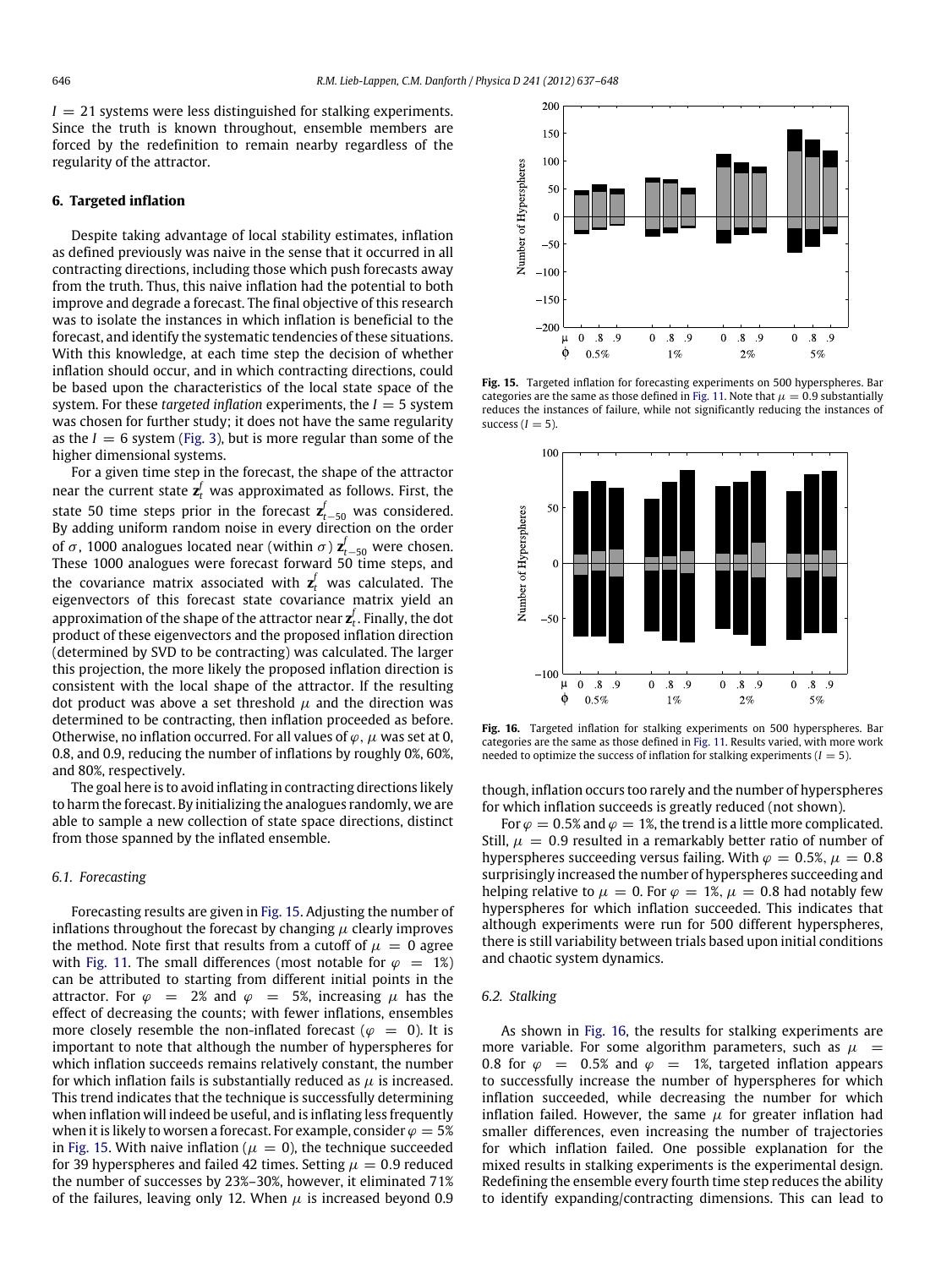$I = 21$  systems were less distinguished for stalking experiments. Since the truth is known throughout, ensemble members are forced by the redefinition to remain nearby regardless of the regularity of the attractor.

#### <span id="page-9-0"></span>**6. Targeted inflation**

Despite taking advantage of local stability estimates, inflation as defined previously was naive in the sense that it occurred in all contracting directions, including those which push forecasts away from the truth. Thus, this naive inflation had the potential to both improve and degrade a forecast. The final objective of this research was to isolate the instances in which inflation is beneficial to the forecast, and identify the systematic tendencies of these situations. With this knowledge, at each time step the decision of whether inflation should occur, and in which contracting directions, could be based upon the characteristics of the local state space of the system. For these *targeted inflation* experiments, the *I* = 5 system was chosen for further study; it does not have the same regularity as the  $I = 6$  system [\(Fig. 3\)](#page-3-1), but is more regular than some of the higher dimensional systems.

For a given time step in the forecast, the shape of the attractor near the current state  $\mathbf{z}_t^f$  was approximated as follows. First, the state 50 time steps prior in the forecast  $\mathbf{z}_{t-50}^f$  was considered. By adding uniform random noise in every direction on the order of  $\sigma$ , 1000 analogues located near (within  $\sigma$ )  $\mathbf{z}_{t-50}^f$  were chosen. These 1000 analogues were forecast forward 50 time steps, and the covariance matrix associated with  $\mathbf{z}_t^f$  was calculated. The eigenvectors of this forecast state covariance matrix yield an approximation of the shape of the attractor near **z** *f <sup>t</sup>* . Finally, the dot product of these eigenvectors and the proposed inflation direction (determined by SVD to be contracting) was calculated. The larger this projection, the more likely the proposed inflation direction is consistent with the local shape of the attractor. If the resulting dot product was above a set threshold  $\mu$  and the direction was determined to be contracting, then inflation proceeded as before. Otherwise, no inflation occurred. For all values of  $\varphi$ ,  $\mu$  was set at 0, 0.8, and 0.9, reducing the number of inflations by roughly 0%, 60%, and 80%, respectively.

The goal here is to avoid inflating in contracting directions likely to harm the forecast. By initializing the analogues randomly, we are able to sample a new collection of state space directions, distinct from those spanned by the inflated ensemble.

## *6.1. Forecasting*

Forecasting results are given in [Fig. 15.](#page-9-1) Adjusting the number of inflations throughout the forecast by changing  $\mu$  clearly improves the method. Note first that results from a cutoff of  $\mu = 0$  agree with [Fig. 11.](#page-7-0) The small differences (most notable for  $\varphi = 1\%)$ can be attributed to starting from different initial points in the attractor. For  $\varphi = 2\%$  and  $\varphi = 5\%$ , increasing  $\mu$  has the effect of decreasing the counts; with fewer inflations, ensembles more closely resemble the non-inflated forecast ( $\varphi = 0$ ). It is important to note that although the number of hyperspheres for which inflation succeeds remains relatively constant, the number for which inflation fails is substantially reduced as  $\mu$  is increased. This trend indicates that the technique is successfully determining when inflation will indeed be useful, and is inflating less frequently when it is likely to worsen a forecast. For example, consider  $\varphi = 5\%$ in [Fig. 15.](#page-9-1) With naive inflation ( $\mu = 0$ ), the technique succeeded for 39 hyperspheres and failed 42 times. Setting  $\mu = 0.9$  reduced the number of successes by 23%–30%, however, it eliminated 71% of the failures, leaving only 12. When  $\mu$  is increased beyond 0.9

<span id="page-9-1"></span>

**Fig. 15.** Targeted inflation for forecasting experiments on 500 hyperspheres. Bar categories are the same as those defined in [Fig. 11.](#page-7-0) Note that  $\mu = 0.9$  substantially reduces the instances of failure, while not significantly reducing the instances of success  $(I = 5)$ .

<span id="page-9-2"></span>

**Fig. 16.** Targeted inflation for stalking experiments on 500 hyperspheres. Bar categories are the same as those defined in [Fig. 11.](#page-7-0) Results varied, with more work needed to optimize the success of inflation for stalking experiments  $(I = 5)$ .

though, inflation occurs too rarely and the number of hyperspheres for which inflation succeeds is greatly reduced (not shown).

For  $\varphi = 0.5\%$  and  $\varphi = 1\%$ , the trend is a little more complicated. Still,  $\mu = 0.9$  resulted in a remarkably better ratio of number of hyperspheres succeeding versus failing. With  $\varphi = 0.5\%$ ,  $\mu = 0.8$ surprisingly increased the number of hyperspheres succeeding and helping relative to  $\mu = 0$ . For  $\varphi = 1\%$ ,  $\mu = 0.8$  had notably few hyperspheres for which inflation succeeded. This indicates that although experiments were run for 500 different hyperspheres, there is still variability between trials based upon initial conditions and chaotic system dynamics.

#### *6.2. Stalking*

As shown in [Fig. 16,](#page-9-2) the results for stalking experiments are more variable. For some algorithm parameters, such as  $\mu =$ 0.8 for  $\varphi = 0.5\%$  and  $\varphi = 1\%$ , targeted inflation appears to successfully increase the number of hyperspheres for which inflation succeeded, while decreasing the number for which inflation failed. However, the same  $\mu$  for greater inflation had smaller differences, even increasing the number of trajectories for which inflation failed. One possible explanation for the mixed results in stalking experiments is the experimental design. Redefining the ensemble every fourth time step reduces the ability to identify expanding/contracting dimensions. This can lead to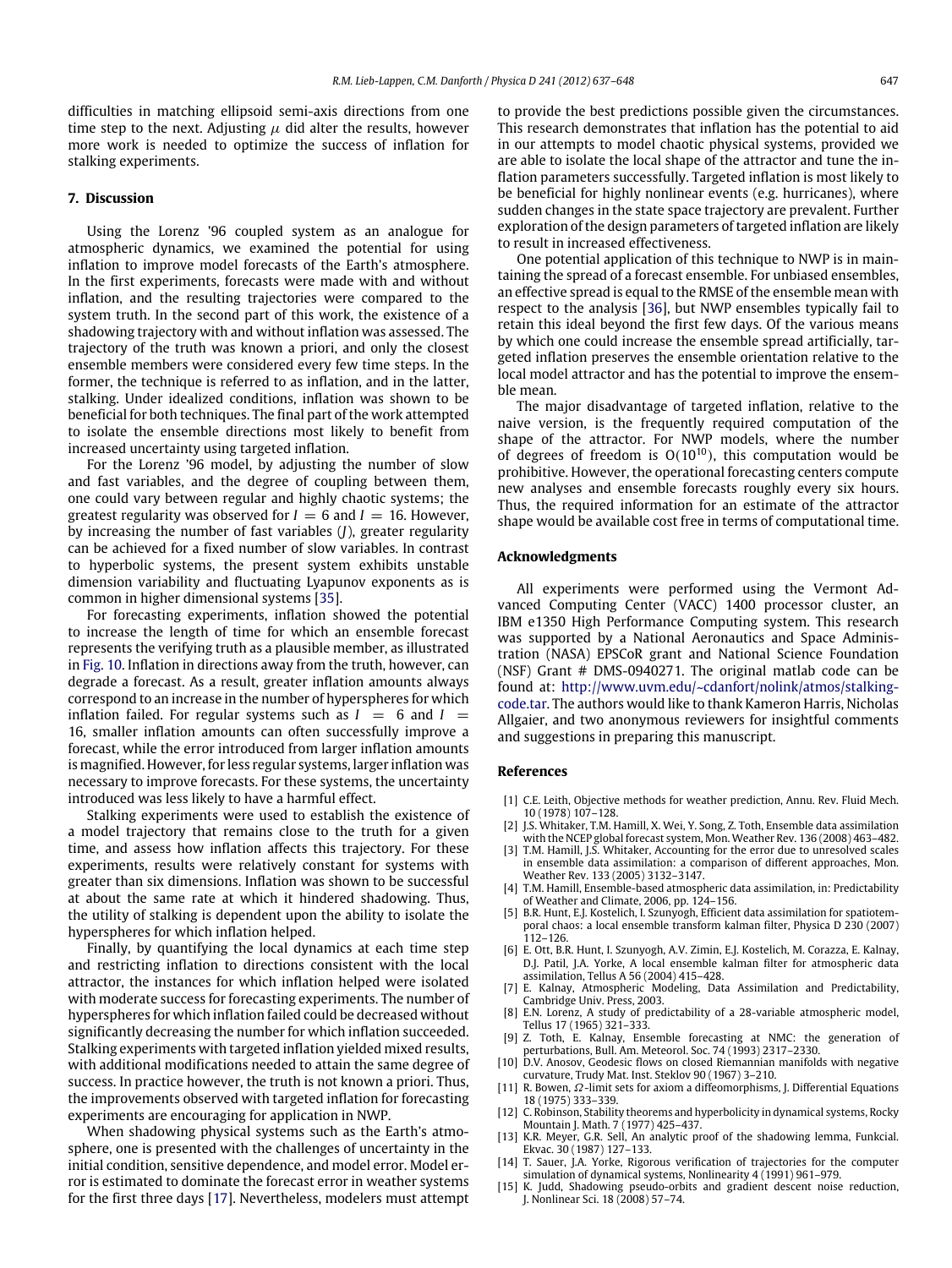difficulties in matching ellipsoid semi-axis directions from one time step to the next. Adjusting  $\mu$  did alter the results, however more work is needed to optimize the success of inflation for stalking experiments.

## <span id="page-10-9"></span>**7. Discussion**

Using the Lorenz '96 coupled system as an analogue for atmospheric dynamics, we examined the potential for using inflation to improve model forecasts of the Earth's atmosphere. In the first experiments, forecasts were made with and without inflation, and the resulting trajectories were compared to the system truth. In the second part of this work, the existence of a shadowing trajectory with and without inflation was assessed. The trajectory of the truth was known a priori, and only the closest ensemble members were considered every few time steps. In the former, the technique is referred to as inflation, and in the latter, stalking. Under idealized conditions, inflation was shown to be beneficial for both techniques. The final part of the work attempted to isolate the ensemble directions most likely to benefit from increased uncertainty using targeted inflation.

For the Lorenz '96 model, by adjusting the number of slow and fast variables, and the degree of coupling between them, one could vary between regular and highly chaotic systems; the greatest regularity was observed for  $I = 6$  and  $I = 16$ . However, by increasing the number of fast variables (*J*), greater regularity can be achieved for a fixed number of slow variables. In contrast to hyperbolic systems, the present system exhibits unstable dimension variability and fluctuating Lyapunov exponents as is common in higher dimensional systems [\[35\]](#page-11-17).

For forecasting experiments, inflation showed the potential to increase the length of time for which an ensemble forecast represents the verifying truth as a plausible member, as illustrated in [Fig. 10.](#page-6-1) Inflation in directions away from the truth, however, can degrade a forecast. As a result, greater inflation amounts always correspond to an increase in the number of hyperspheres for which inflation failed. For regular systems such as  $I = 6$  and  $I =$ 16, smaller inflation amounts can often successfully improve a forecast, while the error introduced from larger inflation amounts is magnified. However, for less regular systems, larger inflation was necessary to improve forecasts. For these systems, the uncertainty introduced was less likely to have a harmful effect.

Stalking experiments were used to establish the existence of a model trajectory that remains close to the truth for a given time, and assess how inflation affects this trajectory. For these experiments, results were relatively constant for systems with greater than six dimensions. Inflation was shown to be successful at about the same rate at which it hindered shadowing. Thus, the utility of stalking is dependent upon the ability to isolate the hyperspheres for which inflation helped.

Finally, by quantifying the local dynamics at each time step and restricting inflation to directions consistent with the local attractor, the instances for which inflation helped were isolated with moderate success for forecasting experiments. The number of hyperspheres for which inflation failed could be decreased without significantly decreasing the number for which inflation succeeded. Stalking experiments with targeted inflation yielded mixed results, with additional modifications needed to attain the same degree of success. In practice however, the truth is not known a priori. Thus, the improvements observed with targeted inflation for forecasting experiments are encouraging for application in NWP.

When shadowing physical systems such as the Earth's atmosphere, one is presented with the challenges of uncertainty in the initial condition, sensitive dependence, and model error. Model error is estimated to dominate the forecast error in weather systems for the first three days [\[17\]](#page-11-10). Nevertheless, modelers must attempt to provide the best predictions possible given the circumstances. This research demonstrates that inflation has the potential to aid in our attempts to model chaotic physical systems, provided we are able to isolate the local shape of the attractor and tune the inflation parameters successfully. Targeted inflation is most likely to be beneficial for highly nonlinear events (e.g. hurricanes), where sudden changes in the state space trajectory are prevalent. Further exploration of the design parameters of targeted inflation are likely to result in increased effectiveness.

One potential application of this technique to NWP is in maintaining the spread of a forecast ensemble. For unbiased ensembles, an effective spread is equal to the RMSE of the ensemble mean with respect to the analysis [\[36\]](#page-11-18), but NWP ensembles typically fail to retain this ideal beyond the first few days. Of the various means by which one could increase the ensemble spread artificially, targeted inflation preserves the ensemble orientation relative to the local model attractor and has the potential to improve the ensemble mean.

The major disadvantage of targeted inflation, relative to the naive version, is the frequently required computation of the shape of the attractor. For NWP models, where the number of degrees of freedom is O*(*10<sup>10</sup>*)*, this computation would be prohibitive. However, the operational forecasting centers compute new analyses and ensemble forecasts roughly every six hours. Thus, the required information for an estimate of the attractor shape would be available cost free in terms of computational time.

#### **Acknowledgments**

All experiments were performed using the Vermont Advanced Computing Center (VACC) 1400 processor cluster, an IBM e1350 High Performance Computing system. This research was supported by a National Aeronautics and Space Administration (NASA) EPSCoR grant and National Science Foundation (NSF) Grant # DMS-0940271. The original matlab code can be [f](http://www.uvm.edu/~cdanfort/nolink/atmos/stalking-code.tar)ound at: [http://www.uvm.edu/~cdanfort/nolink/atmos/stalking](http://www.uvm.edu/~cdanfort/nolink/atmos/stalking-code.tar)[code.tar.](http://www.uvm.edu/~cdanfort/nolink/atmos/stalking-code.tar) The authors would like to thank Kameron Harris, Nicholas Allgaier, and two anonymous reviewers for insightful comments and suggestions in preparing this manuscript.

#### **References**

- <span id="page-10-0"></span>[1] C.E. Leith, Objective methods for weather prediction, Annu. Rev. Fluid Mech. 10 (1978) 107–128.
- <span id="page-10-1"></span>[2] J.S. Whitaker, T.M. Hamill, X. Wei, Y. Song, Z. Toth, Ensemble data assimilation with the NCEP global forecast system, Mon. Weather Rev. 136 (2008) 463–482.
- [3] T.M. Hamill, J.S. Whitaker, Accounting for the error due to unresolved scales in ensemble data assimilation: a comparison of different approaches, Mon. Weather Rev. 133 (2005) 3132–3147.
- [4] T.M. Hamill, Ensemble-based atmospheric data assimilation, in: Predictability of Weather and Climate, 2006, pp. 124–156.
- [5] B.R. Hunt, E.J. Kostelich, I. Szunyogh, Efficient data assimilation for spatiotemporal chaos: a local ensemble transform kalman filter, Physica D 230 (2007) 112–126.
- [6] E. Ott, B.R. Hunt, I. Szunyogh, A.V. Zimin, E.J. Kostelich, M. Corazza, E. Kalnay, D.J. Patil, J.A. Yorke, A local ensemble kalman filter for atmospheric data assimilation, Tellus A 56 (2004) 415–428.
- <span id="page-10-2"></span>[7] E. Kalnay, Atmospheric Modeling, Data Assimilation and Predictability, Cambridge Univ. Press, 2003.
- <span id="page-10-3"></span>[8] E.N. Lorenz, A study of predictability of a 28-variable atmospheric model, Tellus 17 (1965) 321–333.
- <span id="page-10-4"></span>[9] Z. Toth, E. Kalnay, Ensemble forecasting at NMC: the generation of perturbations, Bull. Am. Meteorol. Soc. 74 (1993) 2317–2330.
- <span id="page-10-5"></span>[10] D.V. Anosov, Geodesic flows on closed Riemannian manifolds with negative curvature, Trudy Mat. Inst. Steklov 90 (1967) 3–210.
- <span id="page-10-6"></span>[11] R. Bowen,  $\Omega$ -limit sets for axiom a diffeomorphisms, J. Differential Equations 18 (1975) 333–339.
- <span id="page-10-7"></span>[12] C. Robinson, Stability theorems and hyperbolicity in dynamical systems, Rocky Mountain J. Math. 7 (1977) 425-437.
- [13] K.R. Meyer, G.R. Sell, An analytic proof of the shadowing lemma, Funkcial. Ekvac. 30 (1987) 127–133.
- [14] T. Sauer, J.A. Yorke, Rigorous verification of trajectories for the computer simulation of dynamical systems, Nonlinearity 4 (1991) 961–979.
- <span id="page-10-8"></span>[15] K. Judd, Shadowing pseudo-orbits and gradient descent noise reduction, J. Nonlinear Sci. 18 (2008) 57–74.